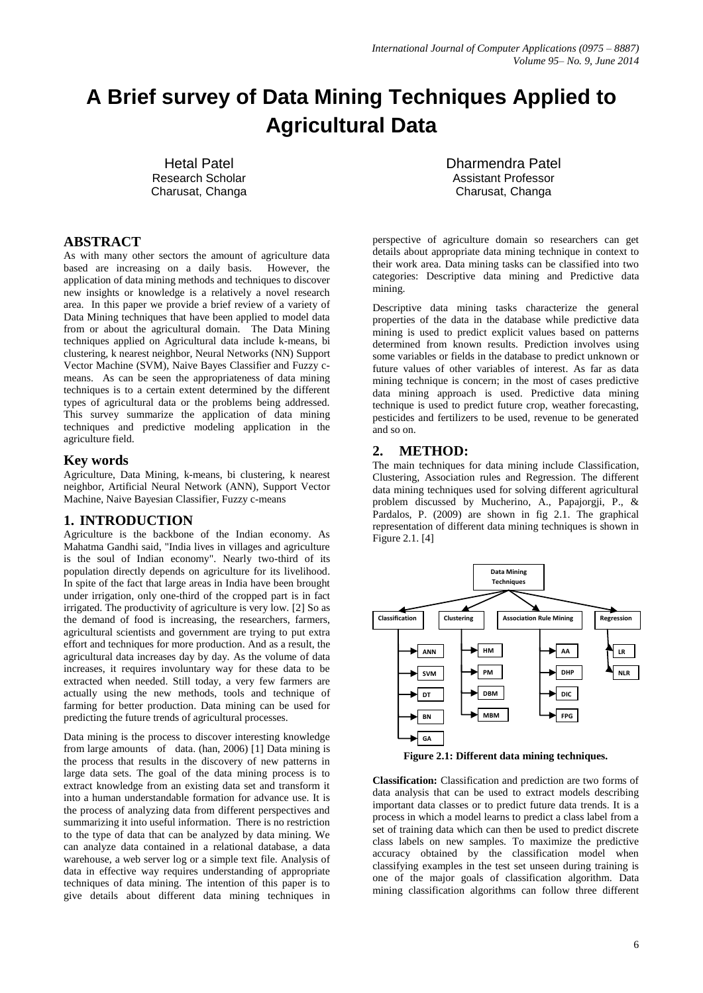# **A Brief survey of Data Mining Techniques Applied to Agricultural Data**

Hetal Patel Research Scholar Charusat, Changa

## **ABSTRACT**

As with many other sectors the amount of agriculture data based are increasing on a daily basis. However, the application of data mining methods and techniques to discover new insights or knowledge is a relatively a novel research area. In this paper we provide a brief review of a variety of Data Mining techniques that have been applied to model data from or about the agricultural domain. The Data Mining techniques applied on Agricultural data include k-means, bi clustering, k nearest neighbor, Neural Networks (NN) Support Vector Machine (SVM), Naive Bayes Classifier and Fuzzy cmeans. As can be seen the appropriateness of data mining techniques is to a certain extent determined by the different types of agricultural data or the problems being addressed. This survey summarize the application of data mining techniques and predictive modeling application in the agriculture field.

## **Key words**

Agriculture, Data Mining, k-means, bi clustering, k nearest neighbor, Artificial Neural Network (ANN), Support Vector Machine, Naive Bayesian Classifier, Fuzzy c-means

## **1. INTRODUCTION**

Agriculture is the backbone of the Indian economy. As Mahatma Gandhi said, "India lives in villages and agriculture is the soul of Indian economy". Nearly two-third of its population directly depends on agriculture for its livelihood. In spite of the fact that large areas in India have been brought under irrigation, only one-third of the cropped part is in fact irrigated. The productivity of agriculture is very low. [2] So as the demand of food is increasing, the researchers, farmers, agricultural scientists and government are trying to put extra effort and techniques for more production. And as a result, the agricultural data increases day by day. As the volume of data increases, it requires involuntary way for these data to be extracted when needed. Still today, a very few farmers are actually using the new methods, tools and technique of farming for better production. Data mining can be used for predicting the future trends of agricultural processes.

Data mining is the process to discover interesting knowledge from large amounts of data. (han, 2006) [1] Data mining is the process that results in the discovery of new patterns in large data sets. The goal of the data mining process is to extract knowledge from an existing data set and transform it into a human understandable formation for advance use. It is the process of analyzing data from different perspectives and summarizing it into useful information. There is no restriction to the type of data that can be analyzed by data mining. We can analyze data contained in a relational database, a data warehouse, a web server log or a simple text file. Analysis of data in effective way requires understanding of appropriate techniques of data mining. The intention of this paper is to give details about different data mining techniques in

Dharmendra Patel Assistant Professor Charusat, Changa

perspective of agriculture domain so researchers can get details about appropriate data mining technique in context to their work area. Data mining tasks can be classified into two categories: Descriptive data mining and Predictive data mining.

Descriptive data mining tasks characterize the general properties of the data in the database while predictive data mining is used to predict explicit values based on patterns determined from known results. Prediction involves using some variables or fields in the database to predict unknown or future values of other variables of interest. As far as data mining technique is concern; in the most of cases predictive data mining approach is used. Predictive data mining technique is used to predict future crop, weather forecasting, pesticides and fertilizers to be used, revenue to be generated and so on.

# **2. METHOD:**

The main techniques for data mining include Classification, Clustering, Association rules and Regression. The different data mining techniques used for solving different agricultural problem discussed by Mucherino, A., Papajorgji, P., & Pardalos, P. (2009) are shown in fig 2.1. The graphical representation of different data mining techniques is shown in Figure 2.1. [4]



**Figure 2.1: Different data mining techniques.**

**Classification:** Classification and prediction are two forms of data analysis that can be used to extract models describing important data classes or to predict future data trends. It is a process in which a model learns to predict a class label from a set of training data which can then be used to predict discrete class labels on new samples. To maximize the predictive accuracy obtained by the classification model when classifying examples in the test set unseen during training is one of the major goals of classification algorithm. Data mining classification algorithms can follow three different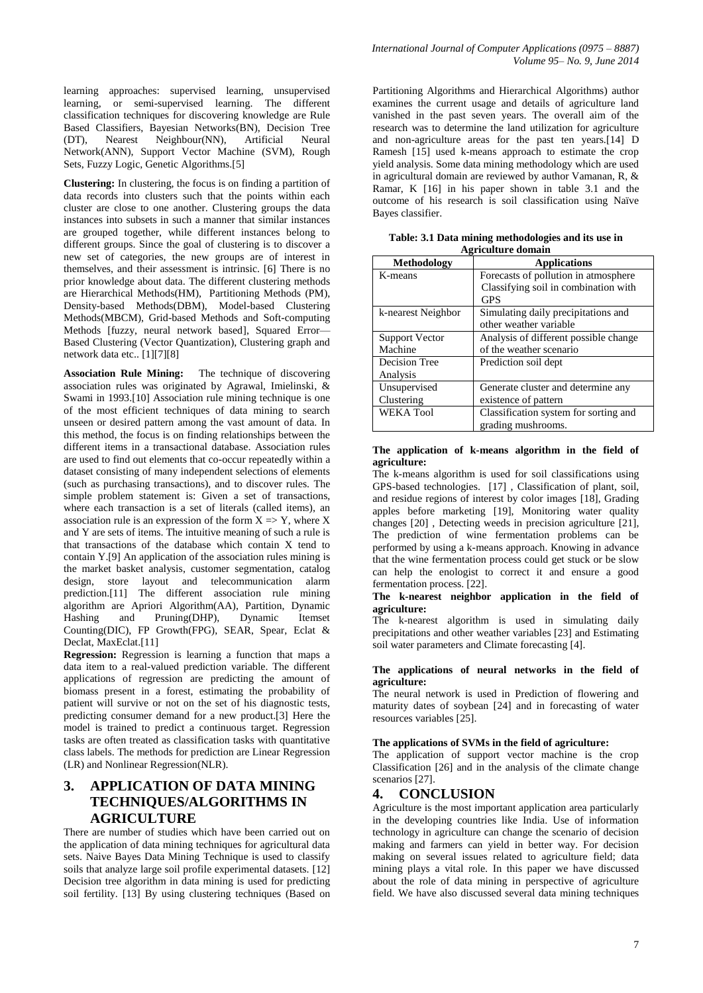learning approaches: supervised learning, unsupervised learning, or semi-supervised learning. The different classification techniques for discovering knowledge are Rule Based Classifiers, Bayesian Networks(BN), Decision Tree (DT), Nearest Neighbour(NN), Artificial Neural Network(ANN), Support Vector Machine (SVM), Rough Sets, Fuzzy Logic, Genetic Algorithms.[5]

**Clustering:** In clustering, the focus is on finding a partition of data records into clusters such that the points within each cluster are close to one another. Clustering groups the data instances into subsets in such a manner that similar instances are grouped together, while different instances belong to different groups. Since the goal of clustering is to discover a new set of categories, the new groups are of interest in themselves, and their assessment is intrinsic. [6] There is no prior knowledge about data. The different clustering methods are Hierarchical Methods(HM), Partitioning Methods (PM), Density-based Methods(DBM), Model-based Clustering Methods(MBCM), Grid-based Methods and Soft-computing Methods [fuzzy, neural network based], Squared Error— Based Clustering (Vector Quantization), Clustering graph and network data etc.. [1][7][8]

**Association Rule Mining:** The technique of discovering association rules was originated by Agrawal, Imielinski, & Swami in 1993.[10] Association rule mining technique is one of the most efficient techniques of data mining to search unseen or desired pattern among the vast amount of data. In this method, the focus is on finding relationships between the different items in a transactional database. Association rules are used to find out elements that co-occur repeatedly within a dataset consisting of many independent selections of elements (such as purchasing transactions), and to discover rules. The simple problem statement is: Given a set of transactions, where each transaction is a set of literals (called items), an association rule is an expression of the form  $X \Rightarrow Y$ , where X and Y are sets of items. The intuitive meaning of such a rule is that transactions of the database which contain X tend to contain Y.[9] An application of the association rules mining is the market basket analysis, customer segmentation, catalog design, store layout and telecommunication alarm prediction.[11] The different association rule mining algorithm are Apriori Algorithm(AA), Partition, Dynamic Hashing and Pruning(DHP), Dynamic Itemset Counting(DIC), FP Growth(FPG), SEAR, Spear, Eclat & Declat, MaxEclat.[11]

**Regression:** Regression is learning a function that maps a data item to a real-valued prediction variable. The different applications of regression are predicting the amount of biomass present in a forest, estimating the probability of patient will survive or not on the set of his diagnostic tests, predicting consumer demand for a new product.[3] Here the model is trained to predict a continuous target. Regression tasks are often treated as classification tasks with quantitative class labels. The methods for prediction are Linear Regression (LR) and Nonlinear Regression(NLR).

# **3. APPLICATION OF DATA MINING TECHNIQUES/ALGORITHMS IN AGRICULTURE**

There are number of studies which have been carried out on the application of data mining techniques for agricultural data sets. Naive Bayes Data Mining Technique is used to classify soils that analyze large soil profile experimental datasets. [12] Decision tree algorithm in data mining is used for predicting soil fertility. [13] By using clustering techniques (Based on

Partitioning Algorithms and Hierarchical Algorithms) author examines the current usage and details of agriculture land vanished in the past seven years. The overall aim of the research was to determine the land utilization for agriculture and non-agriculture areas for the past ten years.[14] D Ramesh [15] used k-means approach to estimate the crop yield analysis. Some data mining methodology which are used in agricultural domain are reviewed by author Vamanan, R, & Ramar, K [16] in his paper shown in table 3.1 and the outcome of his research is soil classification using Naïve Bayes classifier.

| Аргісшіште пошаш      |                                       |
|-----------------------|---------------------------------------|
| Methodology           | <b>Applications</b>                   |
| K-means               | Forecasts of pollution in atmosphere  |
|                       | Classifying soil in combination with  |
|                       | <b>GPS</b>                            |
| k-nearest Neighbor    | Simulating daily precipitations and   |
|                       | other weather variable                |
| <b>Support Vector</b> | Analysis of different possible change |
| Machine               | of the weather scenario               |
| Decision Tree         | Prediction soil dept                  |
| Analysis              |                                       |
| Unsupervised          | Generate cluster and determine any    |
| Clustering            | existence of pattern                  |
| <b>WEKA Tool</b>      | Classification system for sorting and |
|                       | grading mushrooms.                    |

**Table: 3.1 Data mining methodologies and its use in Agriculture domain**

#### **The application of k-means algorithm in the field of agriculture:**

The k-means algorithm is used for soil classifications using GPS-based technologies. [17] , Classification of plant, soil, and residue regions of interest by color images [18], Grading apples before marketing [19], Monitoring water quality changes [20] , Detecting weeds in precision agriculture [21], The prediction of wine fermentation problems can be performed by using a k-means approach. Knowing in advance that the wine fermentation process could get stuck or be slow can help the enologist to correct it and ensure a good fermentation process. [22].

#### **The k-nearest neighbor application in the field of agriculture:**

The k-nearest algorithm is used in simulating daily precipitations and other weather variables [23] and Estimating soil water parameters and Climate forecasting [4].

#### **The applications of neural networks in the field of agriculture:**

The neural network is used in Prediction of flowering and maturity dates of soybean [24] and in forecasting of water resources variables [25].

## **The applications of SVMs in the field of agriculture:**

The application of support vector machine is the crop Classification [26] and in the analysis of the climate change scenarios [27].

# **4. CONCLUSION**

Agriculture is the most important application area particularly in the developing countries like India. Use of information technology in agriculture can change the scenario of decision making and farmers can yield in better way. For decision making on several issues related to agriculture field; data mining plays a vital role. In this paper we have discussed about the role of data mining in perspective of agriculture field. We have also discussed several data mining techniques